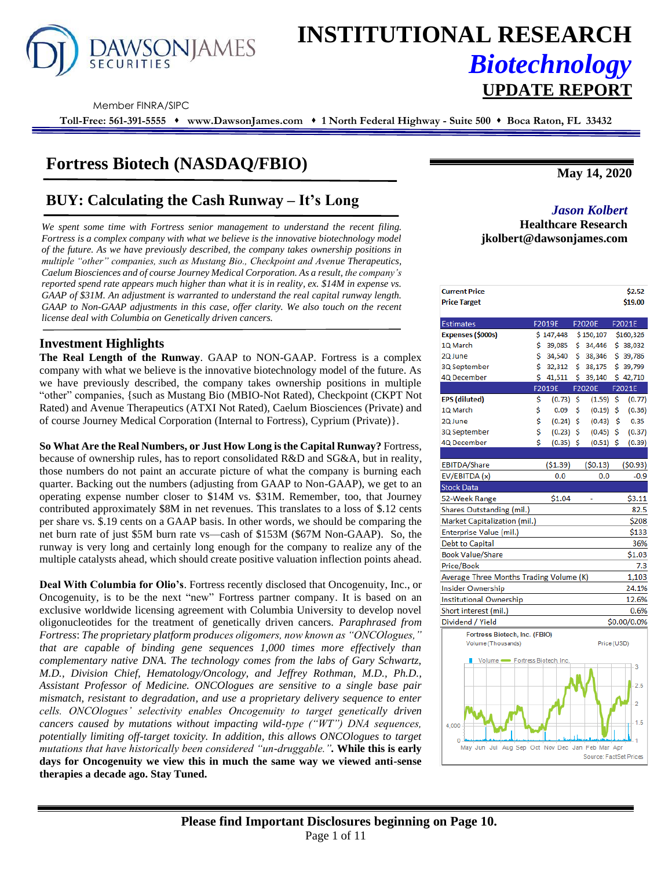

# **INSTITUTIONAL RESEARCH** *Biotechnology* **UPDATE REPORT**

Member FINRA/SIPC

**Toll-Free: 561-391-5555** ⬧ **www.DawsonJames.com** ⬧ **1 North Federal Highway - Suite 500** ⬧ **Boca Raton, FL 33432**

# **Fortress Biotech (NASDAQ/FBIO)**

# **BUY: Calculating the Cash Runway – It's Long** *Jason Kolbert*

*We spent some time with Fortress senior management to understand the recent filing. Fortress is a complex company with what we believe is the innovative biotechnology model of the future. As we have previously described, the company takes ownership positions in multiple "other" companies, such as Mustang Bio., Checkpoint and Avenue Therapeutics, Caelum Biosciences and of course Journey Medical Corporation. As a result, the company's reported spend rate appears much higher than what it is in reality, ex. \$14M in expense vs. GAAP of \$31M. An adjustment is warranted to understand the real capital runway length. GAAP to Non-GAAP adjustments in this case, offer clarity. We also touch on the recent license deal with Columbia on Genetically driven cancers.*

# **Investment Highlights**

**The Real Length of the Runway**. GAAP to NON-GAAP. Fortress is a complex company with what we believe is the innovative biotechnology model of the future. As we have previously described, the company takes ownership positions in multiple "other" companies, {such as Mustang Bio (MBIO-Not Rated), Checkpoint (CKPT Not Rated) and Avenue Therapeutics (ATXI Not Rated), Caelum Biosciences (Private) and of course Journey Medical Corporation (Internal to Fortress), Cyprium (Private)}.

**So What Are the Real Numbers, or Just How Long is the Capital Runway?** Fortress, because of ownership rules, has to report consolidated R&D and SG&A, but in reality, those numbers do not paint an accurate picture of what the company is burning each quarter. Backing out the numbers (adjusting from GAAP to Non-GAAP), we get to an operating expense number closer to \$14M vs. \$31M. Remember, too, that Journey contributed approximately \$8M in net revenues. This translates to a loss of \$.12 cents per share vs. \$.19 cents on a GAAP basis. In other words, we should be comparing the net burn rate of just \$5M burn rate vs—cash of \$153M (\$67M Non-GAAP). So, the runway is very long and certainly long enough for the company to realize any of the multiple catalysts ahead, which should create positive valuation inflection points ahead.

**Deal With Columbia for Olio's**. Fortress recently disclosed that Oncogenuity, Inc., or Oncogenuity, is to be the next "new" Fortress partner company. It is based on an exclusive worldwide licensing agreement with Columbia University to develop novel oligonucleotides for the treatment of genetically driven cancers. *Paraphrased from Fortress*: *The proprietary platform produces oligomers, now known as "ONCOlogues," that are capable of binding gene sequences 1,000 times more effectively than complementary native DNA. The technology comes from the labs of Gary Schwartz, M.D., Division Chief, Hematology/Oncology, and Jeffrey Rothman, M.D., Ph.D., Assistant Professor of Medicine. ONCOlogues are sensitive to a single base pair mismatch, resistant to degradation, and use a proprietary delivery sequence to enter cells. ONCOlogues' selectivity enables Oncogenuity to target genetically driven cancers caused by mutations without impacting wild-type ("WT") DNA sequences, potentially limiting off-target toxicity. In addition, this allows ONCOlogues to target mutations that have historically been considered "un-druggable.".* **While this is early days for Oncogenuity we view this in much the same way we viewed anti-sense therapies a decade ago. Stay Tuned.**

**May 14, 2020**

# **Healthcare Research jkolbert@dawsonjames.com**

| <b>Current Price</b>                            |    |                               |     |                        |     | \$2.52         |
|-------------------------------------------------|----|-------------------------------|-----|------------------------|-----|----------------|
| <b>Price Target</b>                             |    |                               |     |                        |     | \$19.00        |
| Estimates                                       |    | F2019E                        |     | F2020E                 |     | F2021E         |
| Expenses (\$000s)                               |    | \$147,448 \$150,107 \$160,326 |     |                        |     |                |
| <b>IQ</b> March                                 | \$ | 39,085                        | \$. | 34,446                 |     | \$38,032       |
| 2Q June                                         | \$ | 34,540                        | \$  | 38,346                 |     | \$39,786       |
| 3Q September                                    | \$ | 32,312                        | \$. | 38,175                 |     | \$39,799       |
| 4Q December                                     | \$ | 41,511                        | \$  | 39,140                 |     | \$42,710       |
|                                                 |    | F2019E                        |     | F2020E                 |     | F2021E         |
| EPS (diluted)                                   | \$ | (0.73)                        | -\$ | (1.59)                 | -\$ | (0.77)         |
| <b>IQ</b> March                                 | \$ | 0.09                          | \$  | (0.19)                 | -Ŝ  | (0.36)         |
| 2Q June                                         | \$ | (0.24)                        | -\$ | $(0.43)$ \$            |     | 0.35           |
| 3Q September                                    | \$ | $(0.23)$ \$                   |     | (0.45)                 | \$  | (0.37)         |
| 4Q December                                     | Ś  | $(0.35)$ \$                   |     | $(0.51)$ \$            |     | (0.39)         |
|                                                 |    |                               |     |                        |     |                |
| EBITDA/Share                                    |    | (51.39)                       |     | (50.13)                |     | (50.93)        |
| EV/EBITDA (x)                                   |    | 0.0                           |     | 0.0                    |     | $-0.9$         |
| Stock Data                                      |    |                               |     |                        |     |                |
| 52-Week Range                                   |    | \$1.04                        |     |                        |     | \$3.11         |
| Shares Outstanding (mil.)                       |    |                               |     |                        |     | 82.5           |
| Market Capitalization (mil.)                    |    |                               |     |                        |     | \$208          |
| Enterprise Value (mil.)                         |    |                               |     |                        |     | \$133          |
| Debt to Capital                                 |    |                               |     |                        |     | 36%            |
| <b>Book Value/Share</b>                         |    |                               |     |                        |     | \$1.03         |
| Price/Book                                      |    |                               |     |                        |     | 7.3            |
| Average Three Months Trading Volume (K)         |    |                               |     |                        |     | 1,103          |
| nsider Ownership                                |    |                               |     |                        |     | 24.1%          |
| nstitutional Ownership                          |    |                               |     |                        |     | 12.6%          |
| Short interest (mil.)                           |    |                               |     |                        |     | 0.6%           |
| Dividend / Yield                                |    |                               |     |                        |     | \$0.00/0.0%    |
| Fortress Biotech, Inc. (FBIO)                   |    |                               |     |                        |     |                |
| Volume (Thousands)                              |    |                               |     | Price (USD)            |     |                |
|                                                 |    |                               |     |                        |     |                |
| Volume - Fortress Biotech, Inc.                 |    |                               |     |                        |     | 3              |
|                                                 |    |                               |     |                        |     |                |
|                                                 |    |                               |     |                        |     | 2.5            |
|                                                 |    |                               |     |                        |     | $\overline{2}$ |
|                                                 |    |                               |     |                        |     |                |
| 4.000                                           |    |                               |     |                        |     | 1.5            |
|                                                 |    |                               |     |                        |     |                |
| May Jun Jul Aug Sep Oct Nov Dec Jan Feb Mar Apr |    |                               |     |                        |     |                |
|                                                 |    |                               |     | Source: FactSet Prices |     |                |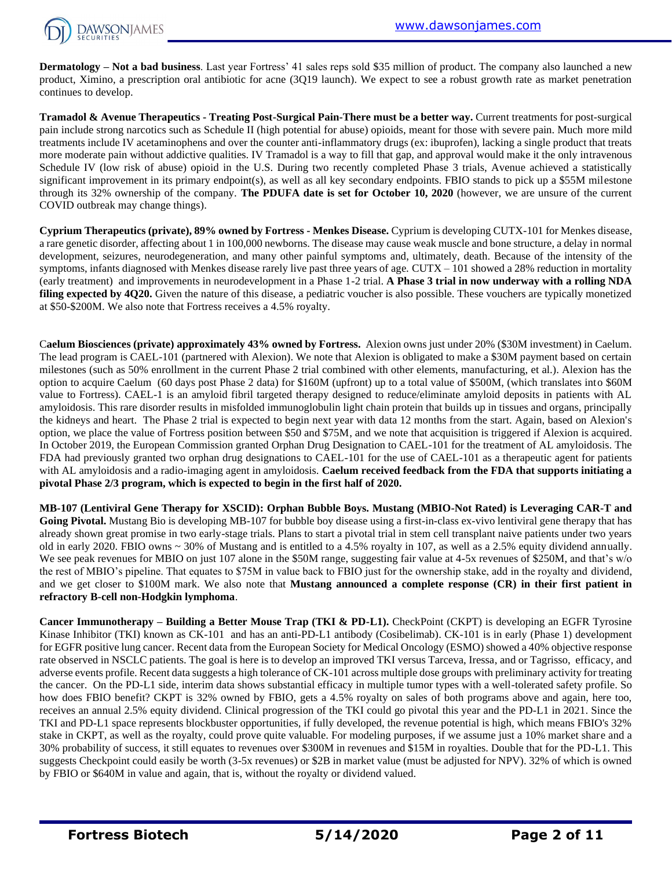

**Dermatology – Not a bad business**. Last year Fortress' 41 sales reps sold \$35 million of product. The company also launched a new product, Ximino, a prescription oral antibiotic for acne (3Q19 launch). We expect to see a robust growth rate as market penetration continues to develop.

**Tramadol & Avenue Therapeutics - Treating Post-Surgical Pain-There must be a better way.** Current treatments for post-surgical pain include strong narcotics such as Schedule II (high potential for abuse) opioids, meant for those with severe pain. Much more mild treatments include IV acetaminophens and over the counter anti-inflammatory drugs (ex: ibuprofen), lacking a single product that treats more moderate pain without addictive qualities. IV Tramadol is a way to fill that gap, and approval would make it the only intravenous Schedule IV (low risk of abuse) opioid in the U.S. During two recently completed Phase 3 trials, Avenue achieved a statistically significant improvement in its primary endpoint(s), as well as all key secondary endpoints. FBIO stands to pick up a \$55M milestone through its 32% ownership of the company. **The PDUFA date is set for October 10, 2020** (however, we are unsure of the current COVID outbreak may change things).

**Cyprium Therapeutics (private), 89% owned by Fortress - Menkes Disease.** Cyprium is developing CUTX-101 for Menkes disease, a rare genetic disorder, affecting about 1 in 100,000 newborns. The disease may cause weak muscle and bone structure, a delay in normal development, seizures, neurodegeneration, and many other painful symptoms and, ultimately, death. Because of the intensity of the symptoms, infants diagnosed with Menkes disease rarely live past three years of age.  $CUTX - 101$  showed a 28% reduction in mortality (early treatment) and improvements in neurodevelopment in a Phase 1-2 trial. **A Phase 3 trial in now underway with a rolling NDA**  filing expected by 4Q20. Given the nature of this disease, a pediatric voucher is also possible. These vouchers are typically monetized at \$50-\$200M. We also note that Fortress receives a 4.5% royalty.

C**aelum Biosciences (private) approximately 43% owned by Fortress.** Alexion owns just under 20% (\$30M investment) in Caelum. The lead program is CAEL-101 (partnered with Alexion). We note that Alexion is obligated to make a \$30M payment based on certain milestones (such as 50% enrollment in the current Phase 2 trial combined with other elements, manufacturing, et al.). Alexion has the option to acquire Caelum (60 days post Phase 2 data) for \$160M (upfront) up to a total value of \$500M, (which translates into \$60M value to Fortress). CAEL-1 is an amyloid fibril targeted therapy designed to reduce/eliminate amyloid deposits in patients with AL amyloidosis. This rare disorder results in misfolded immunoglobulin light chain protein that builds up in tissues and organs, principally the kidneys and heart. The Phase 2 trial is expected to begin next year with data 12 months from the start. Again, based on Alexion's option, we place the value of Fortress position between \$50 and \$75M, and we note that acquisition is triggered if Alexion is acquired. In October 2019, the European Commission granted Orphan Drug Designation to CAEL-101 for the treatment of AL amyloidosis. The FDA had previously granted two orphan drug designations to CAEL-101 for the use of CAEL-101 as a therapeutic agent for patients with AL amyloidosis and a radio-imaging agent in amyloidosis. **Caelum received feedback from the FDA that supports initiating a pivotal Phase 2/3 program, which is expected to begin in the first half of 2020.**

**MB-107 (Lentiviral Gene Therapy for XSCID): Orphan Bubble Boys. Mustang (MBIO-Not Rated) is Leveraging CAR-T and Going Pivotal.** Mustang Bio is developing MB-107 for bubble boy disease using a first-in-class ex-vivo lentiviral gene therapy that has already shown great promise in two early-stage trials. Plans to start a pivotal trial in stem cell transplant naive patients under two years old in early 2020. FBIO owns ~ 30% of Mustang and is entitled to a 4.5% royalty in 107, as well as a 2.5% equity dividend annually. We see peak revenues for MBIO on just 107 alone in the \$50M range, suggesting fair value at 4-5x revenues of \$250M, and that's w/o the rest of MBIO's pipeline. That equates to \$75M in value back to FBIO just for the ownership stake, add in the royalty and dividend, and we get closer to \$100M mark. We also note that **Mustang announced a complete response (CR) in their first patient in refractory B-cell non-Hodgkin lymphoma**.

**Cancer Immunotherapy – Building a Better Mouse Trap (TKI & PD-L1).** CheckPoint (CKPT) is developing an EGFR Tyrosine Kinase Inhibitor (TKI) known as CK-101 and has an anti-PD-L1 antibody (Cosibelimab). CK-101 is in early (Phase 1) development for EGFR positive lung cancer. Recent data from the European Society for Medical Oncology (ESMO) showed a 40% objective response rate observed in NSCLC patients. The goal is here is to develop an improved TKI versus Tarceva, Iressa, and or Tagrisso, efficacy, and adverse events profile. Recent data suggests a high tolerance of CK-101 across multiple dose groups with preliminary activity for treating the cancer. On the PD-L1 side, interim data shows substantial efficacy in multiple tumor types with a well-tolerated safety profile. So how does FBIO benefit? CKPT is 32% owned by FBIO, gets a 4.5% royalty on sales of both programs above and again, here too, receives an annual 2.5% equity dividend. Clinical progression of the TKI could go pivotal this year and the PD-L1 in 2021. Since the TKI and PD-L1 space represents blockbuster opportunities, if fully developed, the revenue potential is high, which means FBIO's 32% stake in CKPT, as well as the royalty, could prove quite valuable. For modeling purposes, if we assume just a 10% market share and a 30% probability of success, it still equates to revenues over \$300M in revenues and \$15M in royalties. Double that for the PD-L1. This suggests Checkpoint could easily be worth (3-5x revenues) or \$2B in market value (must be adjusted for NPV). 32% of which is owned by FBIO or \$640M in value and again, that is, without the royalty or dividend valued.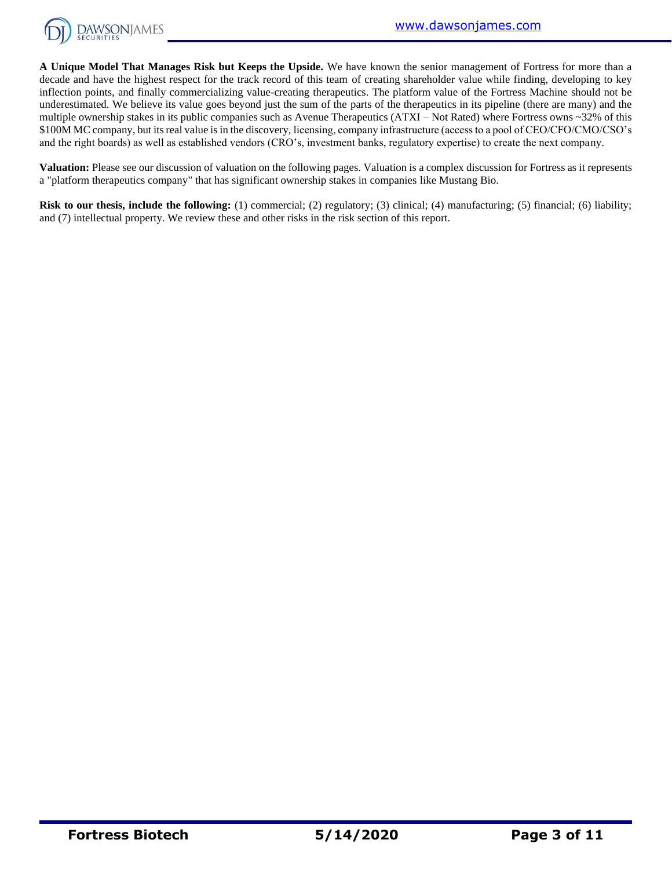

**A Unique Model That Manages Risk but Keeps the Upside.** We have known the senior management of Fortress for more than a decade and have the highest respect for the track record of this team of creating shareholder value while finding, developing to key inflection points, and finally commercializing value-creating therapeutics. The platform value of the Fortress Machine should not be underestimated. We believe its value goes beyond just the sum of the parts of the therapeutics in its pipeline (there are many) and the multiple ownership stakes in its public companies such as Avenue Therapeutics (ATXI – Not Rated) where Fortress owns ~32% of this \$100M MC company, but its real value is in the discovery, licensing, company infrastructure (access to a pool of CEO/CFO/CMO/CSO's and the right boards) as well as established vendors (CRO's, investment banks, regulatory expertise) to create the next company.

**Valuation:** Please see our discussion of valuation on the following pages. Valuation is a complex discussion for Fortress as it represents a "platform therapeutics company" that has significant ownership stakes in companies like Mustang Bio.

**Risk to our thesis, include the following:** (1) commercial; (2) regulatory; (3) clinical; (4) manufacturing; (5) financial; (6) liability; and (7) intellectual property. We review these and other risks in the risk section of this report.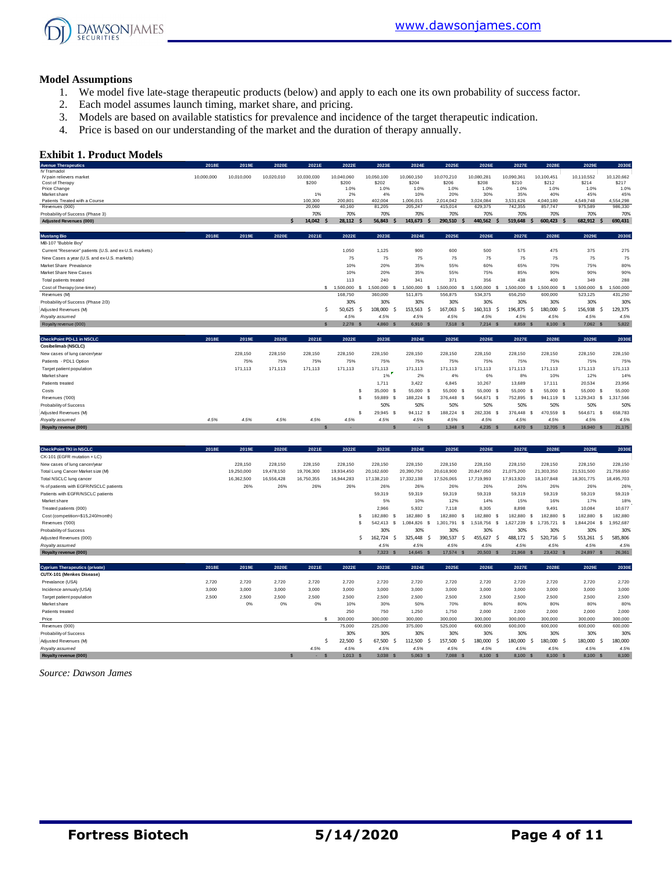

#### **Model Assumptions**

- 1. We model five late-stage therapeutic products (below) and apply to each one its own probability of success factor.
- 2. Each model assumes launch timing, market share, and pricing.
- 3. Models are based on available statistics for prevalence and incidence of the target therapeutic indication.
- 4. Price is based on our understanding of the market and the duration of therapy annually.

#### **Exhibit 1. Product Models**

| <b>Avenue Therapeutics</b>                              | 2018E      | 2019E      | 2020E      | 2021E               | 2022E               | 2023E                       | 2024E                           | 2025E                 | 2026E               | 2027E               | 2028E               | 2029E               | 2030E               |
|---------------------------------------------------------|------------|------------|------------|---------------------|---------------------|-----------------------------|---------------------------------|-----------------------|---------------------|---------------------|---------------------|---------------------|---------------------|
| IV Tramadol                                             |            |            |            |                     |                     |                             |                                 |                       |                     |                     |                     |                     |                     |
| IV pain relievers market                                | 10,000,000 | 10,010,000 | 10,020,010 | 10,030,030<br>\$200 | 10,040,060<br>\$200 | 10,050,100<br>\$202         | 10,060,150<br>\$204             | 10,070,210<br>\$206   | 10,080,281<br>\$208 | 10,090,361<br>\$210 | 10,100,451<br>\$212 | 10,110,552<br>\$214 | 10,120,662<br>\$217 |
| Cost of Therapy<br>Price Change                         |            |            |            |                     | 1.0%                | 1.0%                        | 1.0%                            | 1.0%                  | 1.0%                | 1.0%                | 1.0%                | 1.0%                | 1.0%                |
| Market share                                            |            |            |            | 1%                  | 2%                  | 4%                          | 10%                             | 20%                   | 30%                 | 35%                 | 40%                 | 45%                 | 45%                 |
| Patients Treated with a Course                          |            |            |            | 100,300             | 200.801             | 402.004                     | 1.006.015                       | 2.014.042             | 3.024.084           | 3.531.626           | 4.040.180           | 4.549.748           | 4.554.298           |
| Revenues (000)                                          |            |            |            | 20,060              | 40,160              | 81,205                      | 205,247                         | 415,014               | 629,375             | 742,355             | 857,747             | 975,589             | 986,330             |
| Probability of Success (Phase 3)                        |            |            |            | 70%                 | 70%                 | 70%                         | 70%                             | 70%                   | 70%                 | 70%                 | 70%                 | 70%                 | 70%                 |
| <b>Adjusted Revenues (000)</b>                          |            |            | S          | 14.042              | 28.112              | 56.843                      | 143,673                         | 290.510<br>S          | 440.562             | 519.648             | 600.423             | 682.912             | 690.431             |
| <b>Mustang Bio</b>                                      | 2018E      | 2019E      | 2020E      | 2021E               | 2022E               | 2023E                       | 2024E                           | 2025E                 | 2026E               | 2027E               | 2028E               | 2029E               | 2030E               |
| MB-107 "Bubble Boy"                                     |            |            |            |                     |                     |                             |                                 |                       |                     |                     |                     |                     |                     |
| Current "Reservoir" patients (U.S. and ex-U.S. markets) |            |            |            |                     | 1.050               | 1.125                       | 900                             | 600                   | 500                 | 575                 | 475                 | 375                 | 275                 |
| New Cases a year (U.S. and ex-U.S. markets)             |            |            |            |                     | 75                  | 75                          | 75                              | 75                    | 75                  | 75                  | 75                  | 75                  | 75                  |
| Market Share Prevalance                                 |            |            |            |                     | 10%                 | 20%                         | 35%                             | 55%                   | 60%                 | 65%                 | 70%                 | 75%                 | 80%                 |
| Market Share New Cases                                  |            |            |            |                     | 10%                 | 20%                         | 35%                             | 55%                   | 75%                 | 85%                 | 90%                 | 90%                 | 90%                 |
| Total patients treated                                  |            |            |            |                     | 113                 | 240                         | 341                             | 371                   | 356                 | 438                 | 400                 | 349                 | 288                 |
| Cost of Therapy (one-time)                              |            |            |            |                     | \$ 1,500,000 \$     | 1,500,000                   | 1.500.000<br>-S                 | 1,500,000<br>-S       | 1,500,000<br>-8     | 1.500.000           | \$ 1,500,000 \$     | 1,500,000<br>-S     | 1,500,000           |
| Revenues (M)                                            |            |            |            |                     | 168,750             | 360,000                     | 511,875                         | 556,875               | 534,375             | 656,250             | 600,000             | 523,125             | 431,250             |
| Probability of Success (Phase 2/3)                      |            |            |            |                     | 30%                 | 30%                         | 30%                             | 30%                   | 30%                 | 30%                 | 30%                 | 30%                 | 30%                 |
| Adjusted Revenues (M)                                   |            |            |            | Ŝ.                  | 50,625<br>-S        | 108,000                     | 153.563<br><sup>\$</sup><br>- S | 167,063<br>Ś          | 160.313<br>Ŝ        | 196.875             | 180,000 \$<br>-Ś    | 156.938<br>.s       | 129,375             |
| Royalty assumed                                         |            |            |            |                     | 4.5%                | 4.5%                        | 4.5%                            | 4.5%                  | 4.5%                | 4.5%                | 4.5%                | 4.5%                | 4.5%                |
| Royalty revenue (000)                                   |            |            |            | $\mathbf{s}$        | $2.278$ \$          | 4,860<br>$\mathbf{\hat{s}}$ | 6.910 S                         | 7.518<br>$\mathbf{s}$ | $7.214$ \$          | 8,859 \$            | 8,100 \$            | 7.062 S             | 5,822               |
| <b>CheckPoint PD-L1 in NSCLC</b>                        | 2018E      | 2019E      | 2020E      | 2021E               | 2022E               | 2023E                       | 2024E                           | 2025E                 | 2026E               | 2027E               | 2028E               | 2029E               | 2030E               |
| Cosibelimab (NSCLC)                                     |            |            |            |                     |                     |                             |                                 |                       |                     |                     |                     |                     |                     |
| New cases of lung cancer/year                           |            | 228,150    | 228,150    | 228,150             | 228,150             | 228,150                     | 228,150                         | 228,150               | 228,150             | 228,150             | 228,150             | 228,150             | 228,150             |
| Patients - PDL1 Option                                  |            | 75%        | 75%        | 75%                 | 75%                 | 75%                         | 75%                             | 75%                   | 75%                 | 75%                 | 75%                 | 75%                 | 75%                 |
| Target patient population                               |            | 171,113    | 171,113    | 171.113             | 171,113             | 171,113                     | 171.113                         | 171,113               | 171.113             | 171,113             | 171.113             | 171.113             | 171,113             |
| Market share                                            |            |            |            |                     |                     | 1%                          | 2%                              | 4%                    | 6%                  | 8%                  | 10%                 | 12%                 | 14%                 |
| Patients treated                                        |            |            |            |                     |                     | 1.711                       | 3.422                           | 6.845                 | 10.267              | 13,689              | 17.111              | 20.534              | 23.956              |
| Costs                                                   |            |            |            |                     | s                   | 35,000 \$                   | 55,000 S                        | 55,000 S              | 55,000<br>- S       | 55,000 \$           | 55,000 \$           | 55,000 S            | 55,000              |
| Revenues ('000)                                         |            |            |            |                     | \$.                 | 59,889 \$                   | 188,224 \$                      | 376,448 \$            | 564,671 \$          | 752,895 \$          | 941,119 \$          | 1,129,343 \$        | 1,317,566           |
| Probability of Success                                  |            |            |            |                     |                     | 50%                         | 50%                             | 50%                   | 50%                 | 50%                 | 50%                 | 50%                 | 50%                 |
| Adjusted Revenues (M)                                   |            |            |            |                     | \$.                 | 29.945                      | 94.112 S<br>-S                  | 188,224<br>-S         | 282,336 \$          | 376,448 \$          | 470,559 \$          | 564,671 \$          | 658,783             |
| Royalty assumed                                         | 4.5%       | 4.5%       | 4.5%       | 4.5%                | 4.5%                | 4.5%                        | 4.5%                            | 4.5%                  | 4.5%                | 4.5%                | 4.5%                | 4.5%                | 4.5%                |
| Royalty revenue (000)                                   |            |            |            | S                   |                     |                             | . .                             | 1.348 S               | $4.235$ \$          | 8,470 \$            | 12,705 \$           | 16.940 S            | 21,175              |
|                                                         |            |            |            |                     |                     |                             |                                 |                       |                     |                     |                     |                     |                     |
|                                                         |            |            |            |                     |                     |                             |                                 |                       |                     |                     |                     |                     |                     |

| <b>CheckPoint TKI in NSCLC</b>         | 2018E | 2019E      | 2020E      | 2021E      | 2022E      | 2023E      | 2024E      | 2025E      | 2026E                       | 2027E            | 2028E              | 2029E          | 2030E      |
|----------------------------------------|-------|------------|------------|------------|------------|------------|------------|------------|-----------------------------|------------------|--------------------|----------------|------------|
| CK-101 (EGFR mutation + LC)            |       |            |            |            |            |            |            |            |                             |                  |                    |                |            |
| New cases of lung cancer/year          |       | 228,150    | 228,150    | 228,150    | 228,150    | 228,150    | 228,150    | 228,150    | 228,150                     | 228,150          | 228,150            | 228,150        | 228,150    |
| Total Lung Cancer Market size (M)      |       | 19,250,000 | 19,478,150 | 19,706,300 | 19,934,450 | 20,162,600 | 20,390,750 | 20,618,900 | 20,847,050                  | 21,075,200       | 21,303,350         | 21,531,500     | 21,759,650 |
| Total NSCLC lung cancer                |       | 16,362,500 | 16,556,428 | 16,750,355 | 16,944,283 | 17.138.210 | 17.332.138 | 17,526,065 | 17,719,993                  | 17,913,920       | 18,107,848         | 18,301,775     | 18,495,703 |
| % of patients with EGFR/NSCLC patients |       | 26%        | 26%        | 26%        | 26%        | 26%        | 26%        | 26%        | 26%                         | 26%              | 26%                | 26%            | 26%        |
| Patients with EGFR/NSCLC patients      |       |            |            |            |            | 59,319     | 59,319     | 59,319     | 59,319                      | 59,319           | 59,319             | 59,319         | 59,319     |
| Market share                           |       |            |            |            |            | 5%         | 10%        | 12%        | 14%                         | 15%              | 16%                | 17%            | 18%        |
| Treated patients (000)                 |       |            |            |            |            | 2.966      | 5.932      | 7.118      | 8,305                       | 8,898            | 9,491              | 10,084         | 10,677     |
| Cost (competition=\$15,240/month)      |       |            |            |            |            | 182.880    | 182,880 S  | 182.880    | 182,880                     | 182,880          | 182.880 \$         | 182,880 \$     | 182,880    |
| Revenues ('000)                        |       |            |            |            |            | 542.413    | 1.084.826  | 1.301.791  | .518.756<br>s               | .627.239<br>- 55 | 1.735.721 \$<br>-S | .844.204<br>-S | 1.952.687  |
| Probability of Success                 |       |            |            |            |            | 30%        | 30%        | 30%        | 30%                         | 30%              | 30%                | 30%            | 30%        |
| Adjusted Revenues (000)                |       |            |            |            |            | 162,724    | 325.448 \$ | 390,537    | 455,627<br>$\mathcal{L}$    | 488.172          | 520.716 \$         | 553,261        | 585,806    |
| Royalty assumed                        |       |            |            |            |            | 4.5%       | 4.5%       | 4.5%       | 4.5%                        | 4.5%             | 4.5%               | 4.5%           | 4.5%       |
| Royalty revenue (000)                  |       |            |            |            |            | 7.323 S    | 14,645 S   | 17.574     | $20.503$ \$<br>$\mathbf{s}$ | 21,968 \$        | 23.432 S           | 24.897 S       | 26,361     |

| <i><b>Indiana</b></i> assumed         |       |       |       |       |              | 7.070      | 7.070      | 7.070                  | 7.070                       | 7.070     | 7.070       | 7.070         | 7.070   |
|---------------------------------------|-------|-------|-------|-------|--------------|------------|------------|------------------------|-----------------------------|-----------|-------------|---------------|---------|
| Royalty revenue (000)                 |       |       |       |       |              | $7,323$ \$ | 14,645 \$  | 17,574<br>$\mathbf{s}$ | 20,503<br>- 8               | 21,968 \$ | $23,432$ \$ | 24,897 \$     | 26,361  |
|                                       |       |       |       |       |              |            |            |                        |                             |           |             |               |         |
| <b>Cyprium Therapeutics (private)</b> | 2018E | 2019E | 2020E | 2021E | 2022E        | 2023E      | 2024E      | 2025E                  | 2026E                       | 2027E     | 2028E       | 2029E         | 2030E   |
| CUTX-101 (Menkes Disease)             |       |       |       |       |              |            |            |                        |                             |           |             |               |         |
| Prevalance (USA)                      | 2,720 | 2.720 | 2.720 | 2.720 | 2,720        | 2.720      | 2,720      | 2.720                  | 2.720                       | 2,720     | 2.720       | 2.720         | 2,720   |
| Incidence annualy (USA)               | 3,000 | 3,000 | 3,000 | 3,000 | 3,000        | 3.000      | 3,000      | 3,000                  | 3,000                       | 3,000     | 3,000       | 3,000         | 3,000   |
| Target patient population             | 2,500 | 2.500 | 2.500 | 2.500 | 2,500        | 2.500      | 2,500      | 2,500                  | 2,500                       | 2,500     | 2.500       | 2.500         | 2,500   |
| Market share                          |       | 0%    | 0%    | 0%    | 10%          | 30%        | 50%        | 70%                    | 80%                         | 80%       | 80%         | 80%           | 80%     |
| Patients treated                      |       |       |       |       | 250          | 750        | 1.250      | 1.750                  | 2,000                       | 2,000     | 2,000       | 2.000         | 2,000   |
| Price                                 |       |       |       |       | 300,000      | 300,000    | 300,000    | 300,000                | 300,000                     | 300,000   | 300,000     | 300,000       | 300,000 |
| Revenues (000)                        |       |       |       |       | 75,000       | 225,000    | 375,000    | 525,000                | 600,000                     | 600,000   | 600,000     | 600,000       | 600,000 |
| Probability of Success                |       |       |       |       | 30%          | 30%        | 30%        | 30%                    | 30%                         | 30%       | 30%         | 30%           | 30%     |
| Adjusted Revenues (M)                 |       |       |       |       | 22,500<br>.S | 67.500     | 112,500    | 157.500                | 180.000<br>- 5              | 180,000   | 180,000 \$  | 180.000<br>-2 | 180,000 |
| Royalty assumed                       |       |       |       | 4.5%  | 4.5%         | 4.5%       | 4.5%       | 4.5%                   | 4.5%                        | 4.5%      | 4.5%        | 4.5%          | 4.5%    |
| Royalty revenue (000)                 |       |       |       | . .   | $1,013$ \$   | $3,038$ \$ | $5,063$ \$ | 7,088<br>$\mathbf{s}$  | 8,100<br>$\mathbf{\hat{s}}$ | 8,100 \$  | 8,100 \$    | 8,100 \$      | 8,100   |

*Source: Dawson James*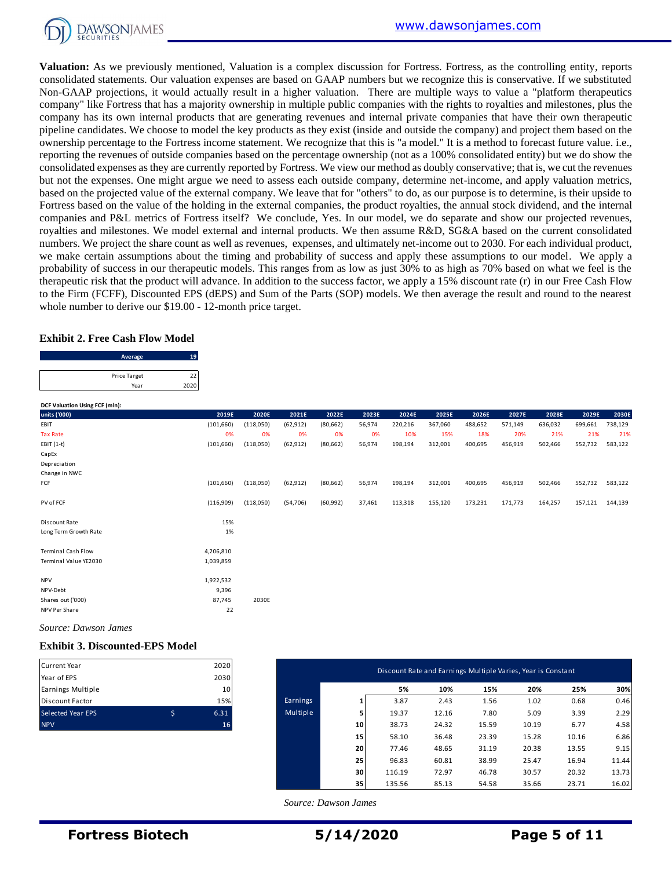

**Valuation:** As we previously mentioned, Valuation is a complex discussion for Fortress. Fortress, as the controlling entity, reports consolidated statements. Our valuation expenses are based on GAAP numbers but we recognize this is conservative. If we substituted Non-GAAP projections, it would actually result in a higher valuation. There are multiple ways to value a "platform therapeutics company" like Fortress that has a majority ownership in multiple public companies with the rights to royalties and milestones, plus the company has its own internal products that are generating revenues and internal private companies that have their own therapeutic pipeline candidates. We choose to model the key products as they exist (inside and outside the company) and project them based on the ownership percentage to the Fortress income statement. We recognize that this is "a model." It is a method to forecast future value. i.e., reporting the revenues of outside companies based on the percentage ownership (not as a 100% consolidated entity) but we do show the consolidated expenses as they are currently reported by Fortress. We view our method as doubly conservative; that is, we cut the revenues but not the expenses. One might argue we need to assess each outside company, determine net-income, and apply valuation metrics, based on the projected value of the external company. We leave that for "others" to do, as our purpose is to determine, is their upside to Fortress based on the value of the holding in the external companies, the product royalties, the annual stock dividend, and the internal companies and P&L metrics of Fortress itself? We conclude, Yes. In our model, we do separate and show our projected revenues, royalties and milestones. We model external and internal products. We then assume R&D, SG&A based on the current consolidated numbers. We project the share count as well as revenues, expenses, and ultimately net-income out to 2030. For each individual product, we make certain assumptions about the timing and probability of success and apply these assumptions to our model. We apply a probability of success in our therapeutic models. This ranges from as low as just 30% to as high as 70% based on what we feel is the therapeutic risk that the product will advance. In addition to the success factor, we apply a 15% discount rate (r) in our Free Cash Flow to the Firm (FCFF), Discounted EPS (dEPS) and Sum of the Parts (SOP) models. We then average the result and round to the nearest

#### **Exhibit 2. Free Cash Flow Model**

| whole number to derive our \$19.00 - 12-month price target. |    |  |
|-------------------------------------------------------------|----|--|
| Exhibit 2. Free Cash Flow Model                             |    |  |
|                                                             |    |  |
| Average                                                     | 19 |  |
| Price Target                                                | 22 |  |

| DCF Valuation Using FCF (mln): |            |           |           |           |        |         |         |         |         |         |         |         |
|--------------------------------|------------|-----------|-----------|-----------|--------|---------|---------|---------|---------|---------|---------|---------|
| units ('000)                   | 2019E      | 2020E     | 2021E     | 2022E     | 2023E  | 2024E   | 2025E   | 2026E   | 2027E   | 2028E   | 2029E   | 2030E   |
| EBIT                           | (101, 660) | (118,050) | (62, 912) | (80, 662) | 56,974 | 220,216 | 367,060 | 488,652 | 571,149 | 636,032 | 699,661 | 738,129 |
| <b>Tax Rate</b>                | 0%         | 0%        | 0%        | 0%        | 0%     | 10%     | 15%     | 18%     | 20%     | 21%     | 21%     | 21%     |
| EBIT (1-t)                     | (101, 660) | (118,050) | (62, 912) | (80, 662) | 56,974 | 198,194 | 312,001 | 400,695 | 456,919 | 502,466 | 552,732 | 583,122 |
| CapEx                          |            |           |           |           |        |         |         |         |         |         |         |         |
| Depreciation                   |            |           |           |           |        |         |         |         |         |         |         |         |
| Change in NWC                  |            |           |           |           |        |         |         |         |         |         |         |         |
| FCF                            | (101, 660) | (118,050) | (62, 912) | (80, 662) | 56,974 | 198,194 | 312,001 | 400,695 | 456,919 | 502,466 | 552,732 | 583,122 |
| PV of FCF                      | (116,909)  | (118,050) | (54, 706) | (60, 992) | 37,461 | 113,318 | 155,120 | 173,231 | 171,773 | 164,257 | 157,121 | 144,139 |
| Discount Rate                  | 15%        |           |           |           |        |         |         |         |         |         |         |         |
| Long Term Growth Rate          | 1%         |           |           |           |        |         |         |         |         |         |         |         |
| <b>Terminal Cash Flow</b>      | 4,206,810  |           |           |           |        |         |         |         |         |         |         |         |
| Terminal Value YE2030          | 1,039,859  |           |           |           |        |         |         |         |         |         |         |         |
| <b>NPV</b>                     | 1,922,532  |           |           |           |        |         |         |         |         |         |         |         |
| NPV-Debt                       | 9,396      |           |           |           |        |         |         |         |         |         |         |         |
| Shares out ('000)              | 87,745     | 2030E     |           |           |        |         |         |         |         |         |         |         |
| NPV Per Share                  | 22         |           |           |           |        |         |         |         |         |         |         |         |

*Source: Dawson James*

#### **Exhibit 3. Discounted-EPS Model**

| <b>Current Year</b>      | 2020 |
|--------------------------|------|
| Year of EPS              | 2030 |
| Earnings Multiple        | 10   |
| <b>Discount Factor</b>   | 15%  |
| <b>Selected Year EPS</b> | 6.31 |
| <b>NPV</b>               | 16   |

| Current Year                     | 2020                    |          |                 | Discount Rate and Earnings Multiple Varies, Year is Constant |       |       |       |       |       |
|----------------------------------|-------------------------|----------|-----------------|--------------------------------------------------------------|-------|-------|-------|-------|-------|
| Year of EPS<br>Earnings Multiple | 2030<br>10 <sup>1</sup> |          |                 | 5%                                                           | 10%   | 15%   | 20%   | 25%   | 30%   |
| Discount Factor                  | 15%                     | Earnings | $\mathbf{1}$    | 3.87                                                         | 2.43  | 1.56  | 1.02  | 0.68  | 0.46  |
| Selected Year EPS                | \$<br>6.31              | Multiple | э.              | 19.37                                                        | 12.16 | 7.80  | 5.09  | 3.39  | 2.29  |
| <b>NPV</b>                       | 16                      |          | 10 <sup>1</sup> | 38.73                                                        | 24.32 | 15.59 | 10.19 | 6.77  | 4.58  |
|                                  |                         |          | 15              | 58.10                                                        | 36.48 | 23.39 | 15.28 | 10.16 | 6.86  |
|                                  |                         |          | 20              | 77.46                                                        | 48.65 | 31.19 | 20.38 | 13.55 | 9.15  |
|                                  |                         |          | 25              | 96.83                                                        | 60.81 | 38.99 | 25.47 | 16.94 | 11.44 |
|                                  |                         |          | 30              | 116.19                                                       | 72.97 | 46.78 | 30.57 | 20.32 | 13.73 |
|                                  |                         |          | 35              | 135.56                                                       | 85.13 | 54.58 | 35.66 | 23.71 | 16.02 |

 *Source: Dawson James*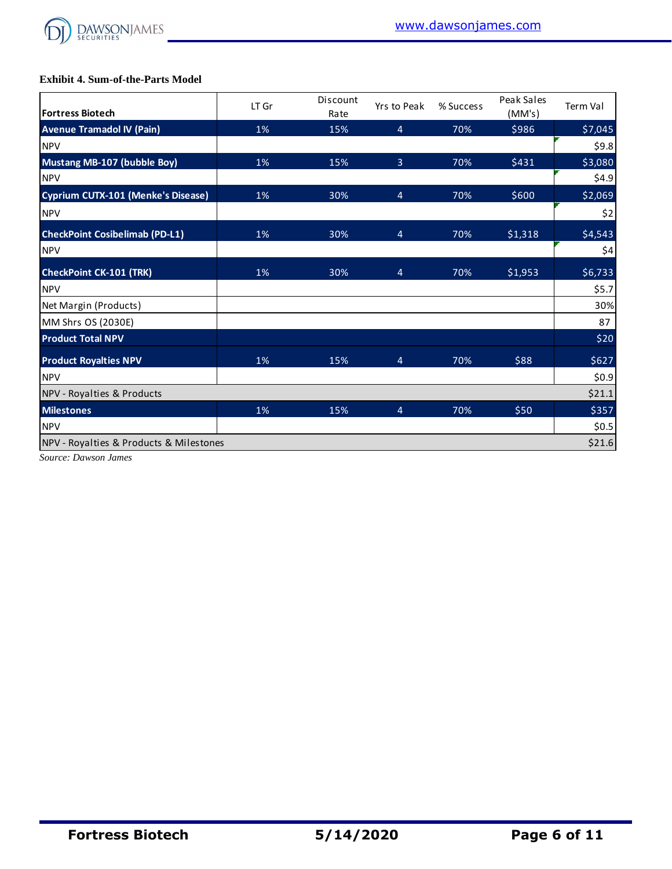

## **Exhibit 4. Sum-of-the-Parts Model**

| <b>Exhibit 4. Sum-of-the-Parts Model</b>  |       |                  |                |           |                      |          |
|-------------------------------------------|-------|------------------|----------------|-----------|----------------------|----------|
| <b>Fortress Biotech</b>                   | LT Gr | Discount<br>Rate | Yrs to Peak    | % Success | Peak Sales<br>(MM's) | Term Val |
| <b>Avenue Tramadol IV (Pain)</b>          | 1%    | 15%              | 4              | 70%       | \$986                | \$7,045  |
| <b>NPV</b>                                |       |                  |                |           |                      | \$9.8    |
| <b>Mustang MB-107 (bubble Boy)</b>        | 1%    | 15%              | $\overline{3}$ | 70%       | \$431                | \$3,080  |
| <b>NPV</b>                                |       |                  |                |           |                      | \$4.9    |
| <b>Cyprium CUTX-101 (Menke's Disease)</b> | 1%    | 30%              | 4              | 70%       | \$600                | \$2,069  |
| <b>NPV</b>                                |       |                  |                |           |                      | \$2      |
| <b>CheckPoint Cosibelimab (PD-L1)</b>     | 1%    | 30%              | 4              | 70%       | \$1,318              | \$4,543  |
| <b>NPV</b>                                |       |                  |                |           |                      | \$4      |
| <b>CheckPoint CK-101 (TRK)</b>            | 1%    | 30%              | 4              | 70%       | \$1,953              | \$6,733  |
| <b>NPV</b>                                |       |                  |                |           |                      | \$5.7    |
| Net Margin (Products)                     |       |                  |                |           |                      | 30%      |
| MM Shrs OS (2030E)                        |       |                  |                |           |                      | 87       |
| <b>Product Total NPV</b>                  |       |                  |                |           |                      | \$20     |
| <b>Product Royalties NPV</b>              | 1%    | 15%              | 4              | 70%       | \$88                 | \$627    |
| <b>NPV</b>                                |       |                  |                |           |                      | \$0.9    |
| NPV - Royalties & Products                |       |                  |                |           |                      | \$21.1   |
| <b>Milestones</b>                         | 1%    | 15%              | 4              | 70%       | \$50                 | \$357    |
| <b>NPV</b>                                |       |                  |                |           |                      | \$0.5    |
| NPV - Royalties & Products & Milestones   |       |                  |                |           |                      | \$21.6   |

*Source: Dawson James*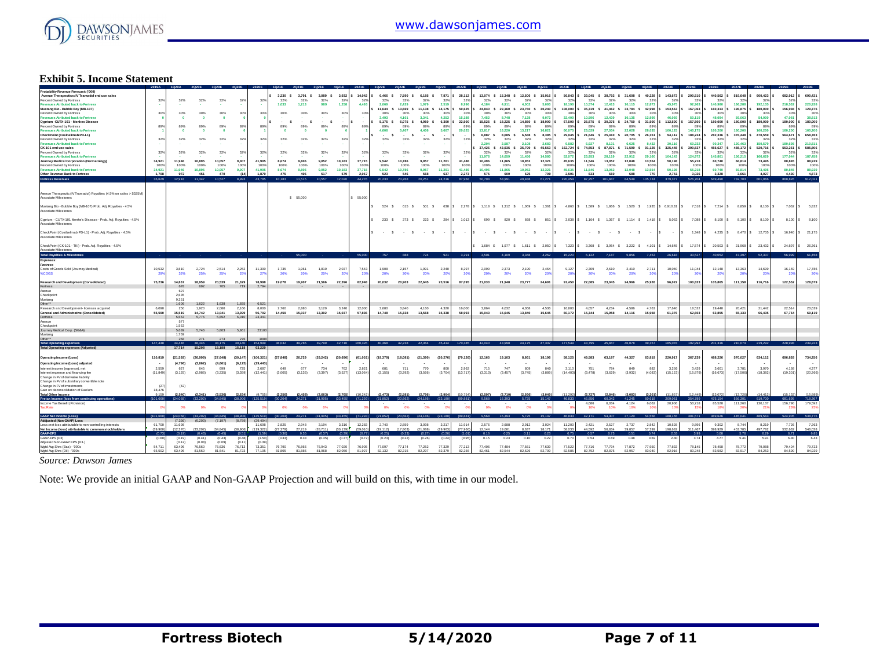

### **Exhibit 5. Income Statement**

| Probability Revenue Forecast: ('000)<br>Avenue Therapeutics: IV Tramadol end use sales<br>Percent Owned by Fortress<br>venues Atributed back to Fortress<br>Mustang Bio - Bubble Boy (MB-107)<br>Percent Owned by Fortress<br><b>Revenues Atributed back to Fortress</b><br>Cyprium -CUTX-101 - Menkes Disease<br>Percent Owned by Fortress<br>venues Atributed back to Fortress<br>CheckPoint (Cosibelimab PD-L1)<br>Percent Owned by Fortress<br>venues Atributed back to Fortress<br>CK-101 end use sales<br>Percent Owned by Fortress<br><b>Revenues Atributed back to Fortress</b><br>Journey Medical Corporation (Dermatology)<br>Percent Owned by Fortress<br><b>Revenues Atributed back to Fortress</b><br>Other Revenue Back to Fortress<br>Fortress Revenues | 32%<br>30%<br>89%<br>32%<br>32%<br>34,921<br>100%<br>34.921<br>1.708<br>36.629 | 32%<br>30%<br>$\bullet$<br>89%<br>$\bullet$<br>32%<br>32%<br>11,946<br>100%<br>11,946<br>972<br>12.918 | 32%<br>30%<br>89%<br>32%<br>32%<br>10,895<br>100%<br>10,895<br>451<br>11.347 | 32%<br>30%<br>$\bullet$<br>89%<br>$\mathbf{0}$<br>32%<br>32%<br>10,057<br>100%<br>10.057<br>470<br>10.527 | 32%<br>303<br>RQ<br>32'<br>32%<br>9.007<br>100<br>9.007<br>(1.8)<br>8,993 | 32%<br>303<br>32<br>325<br>41,905<br>100<br>41,905<br>1.879<br>43.785     | 3.230 S<br>32%<br>1.033<br>30%<br>$\cdot$ s<br>89%<br>32%<br>32%<br>8.674<br>100%<br>8,674<br>475<br>10.183 | 32%<br>1.213<br>30%<br>$\cdot$ s<br>89%<br>32%<br>32%<br>308.8<br>100%<br>9,806<br>496<br>11,515 | 3,791 \$ 3,089 \$ 3,932 \$<br>32%<br>989<br>30%<br>$\cdot$ s<br>89%<br>O<br>32%<br>32%<br>9.052<br>100%<br>9.052<br>517<br>10,557 | 32%<br>1.258<br>30%<br>89%<br>32%<br>32%<br>10,183<br>100%<br>10.183<br>579<br>12,020 | 14,042<br>329<br>4.493<br>30%<br>89%<br>329<br>32%<br>37,715<br>1009<br>37,715<br>2.067<br>44,276 | 6,466 S<br>32%<br>2.069<br>11,644<br>30%<br>3,493<br>5.175 S<br>89%<br>4,606<br>32%<br>32%<br>9.542<br>100%<br>9.542<br>523<br>20,233 | 7.590 S<br>32%<br>2.429<br>13,669 S<br>30%<br>4.101<br>6.075 \$<br>89%<br>5,407<br>$\sim$<br>- 5<br>32%<br>32%<br>10,786<br>100%<br>10,786<br>546<br>23,268 | 6.185 S<br>32%<br>1.979<br>11,138 \$<br>30%<br>3.341<br>4,950 S<br>89%<br>4,406<br>$\sim$<br>- S<br>32%<br>32%<br>9.957<br>100%<br>9.957<br>568<br>20,251 | 7,871<br>32'<br>2.519<br>14,175 \$<br>305<br>4.253<br>6,300<br>R <sub>9</sub><br>5,607<br>329<br>32'<br>11,201<br>100<br>11,201<br>637<br>24,216 | 28,112<br>32%<br>8.996<br>50,625<br>303<br>15.18<br>22,500<br>-89<br>20,025<br>329<br>32%<br>41,48<br>100%<br>41,486<br>2.273<br>87.968 | 13.074 S<br>32%<br>4.184<br>24,840<br>30%<br>7,452<br>15,525 \$<br>89%<br>13,817<br>6.887 S<br>32%<br>2.204<br>37,426<br>32%<br>11,976<br>10,496<br>100%<br>10,496<br>575<br>50,704 | 32%<br>4.911<br>29.160 S<br>30%<br>8,748<br>18,225 \$<br>89%<br>16,220<br>8.085 S<br>32%<br>2.587<br>43.935 S<br>32%<br>14.059<br>11,865<br>100%<br>11,865<br>600<br>58,991 | 15.348 \$ 12.506 \$ 15.916<br>32%<br>4.002<br>23,760 S<br>30%<br>7.128<br>14,850<br>89%<br>13,217<br>6,588 S<br>32%<br>2.108<br>35,799 S<br>32%<br>11,456<br>10.952<br>100%<br>10,952<br>625<br>49,488 | $32^{o}$<br>5.093<br>30,240<br>30%<br>9.07<br>18,900<br>899<br>16,821<br>8.385<br>$32^{o}$<br>2.683<br>45,563<br>329<br>14,580<br>12,321<br>100%<br>12,321<br>700<br>61,271 | 56,843<br>329<br>18.196<br>108,000<br>303<br>32,400<br>67,500<br>899<br>60,075<br>29.945<br>32 <sup>6</sup><br>9.582<br>162,724<br>32%<br>52.072<br>45,635<br>100%<br>45,635<br>2,501<br>220,454 | 32%<br>10.574<br>35,319 S<br>30%<br>10,596<br>25,875 \$<br>89%<br>23,029<br>32%<br>6.927<br>32%<br>23,953<br>11,546<br>100%<br>11,546<br>633 | 33.045 \$ 38.792 \$ 31.608 \$<br>32%<br>12.413<br>41,462 \$<br>30%<br>12,439<br>30,375 \$<br>89%<br>27,034<br>21.646 \$ 25.410 \$ 20.705 \$<br>32%<br>8.131<br>74,853 \$ 87,871 \$<br>32%<br>28,119<br>13.052<br>100%<br>13,052<br>660<br>87,257 101,847 | 32%<br>10.115<br>33,784 S<br>30%<br>10.135<br>24,750 \$<br>89%<br>22,028<br>32%<br>6.625<br>71.599 S<br>32%<br>22.912<br>12,048<br>100%<br>12,048<br>688<br>84,549 105,724 | 40.228<br>329<br>12.873<br>42,998<br>30%<br>12.89<br>31,500<br>899<br>28,035<br>26.351<br>32 <sup>6</sup><br>8.432<br>91.125<br>32%<br>29,160<br>13,554<br>100%<br>13,554<br>770 | 143,673<br>329<br>45.975<br>153,563<br>303<br>46,069<br>112,500<br>89<br>100,125<br>94.112<br>32<br>30.116<br>325,448<br>329<br>104.143<br>50.198<br>100%<br>50.198<br>2,751<br>379,377 | 290,510<br>32<br>92.963<br>167,063<br>303<br>50.119<br>157,500<br>140,175<br>188,224<br>60.233<br>390,537<br>$32^{i}$<br>124.97<br>55,218<br>100<br>55.218<br>3.026<br>526.704 | 440,562<br>32 <sup>1</sup><br>140,980<br>160,313<br>30%<br>48.09<br>180,000<br>899<br>160,200<br>282,336<br>90.347<br>455,627<br>32%<br>145.80<br>60,740<br>100%<br>60,740<br>3.328<br>649,490 | \$ 519,648<br>32<br>166,288<br>196,875<br>301<br>59,063<br>180,000<br>89<br>160,200<br>376,448<br>32<br>120,463<br>488,172<br>32 <sup>1</sup><br>156,215<br>66,814<br>100<br>66,814<br>3.661<br>732,703 | 600,423 S<br>325<br>192.135<br>180,000<br>30%<br>54,000<br>180,000<br>160,200<br>470,559 S<br>325<br>150.579<br>520,716 \$<br>32%<br>166,629<br>73,495<br>1009<br>73,495<br>4.027<br>801.066 | 682,912<br>218.533<br>156,938<br>303<br>47.08<br>180,000<br>160,200<br>564.671<br>180.695<br>553,261<br>$32^{i}$<br>177.04<br>80,845<br>100<br>80,845<br>4,430<br>868.826 | 690,431<br>329<br>220,938<br>129,375<br>30%<br>38,813<br>180,000<br>89%<br>160,200<br>658,783<br>32%<br>210,811<br>585,806<br>32%<br>187,458<br>88,929<br>100%<br>88,929<br>4,873<br>912,021 |
|------------------------------------------------------------------------------------------------------------------------------------------------------------------------------------------------------------------------------------------------------------------------------------------------------------------------------------------------------------------------------------------------------------------------------------------------------------------------------------------------------------------------------------------------------------------------------------------------------------------------------------------------------------------------------------------------------------------------------------------------------------------------|--------------------------------------------------------------------------------|--------------------------------------------------------------------------------------------------------|------------------------------------------------------------------------------|-----------------------------------------------------------------------------------------------------------|---------------------------------------------------------------------------|---------------------------------------------------------------------------|-------------------------------------------------------------------------------------------------------------|--------------------------------------------------------------------------------------------------|-----------------------------------------------------------------------------------------------------------------------------------|---------------------------------------------------------------------------------------|---------------------------------------------------------------------------------------------------|---------------------------------------------------------------------------------------------------------------------------------------|-------------------------------------------------------------------------------------------------------------------------------------------------------------|-----------------------------------------------------------------------------------------------------------------------------------------------------------|--------------------------------------------------------------------------------------------------------------------------------------------------|-----------------------------------------------------------------------------------------------------------------------------------------|-------------------------------------------------------------------------------------------------------------------------------------------------------------------------------------|-----------------------------------------------------------------------------------------------------------------------------------------------------------------------------|--------------------------------------------------------------------------------------------------------------------------------------------------------------------------------------------------------|-----------------------------------------------------------------------------------------------------------------------------------------------------------------------------|--------------------------------------------------------------------------------------------------------------------------------------------------------------------------------------------------|----------------------------------------------------------------------------------------------------------------------------------------------|----------------------------------------------------------------------------------------------------------------------------------------------------------------------------------------------------------------------------------------------------------|----------------------------------------------------------------------------------------------------------------------------------------------------------------------------|----------------------------------------------------------------------------------------------------------------------------------------------------------------------------------|-----------------------------------------------------------------------------------------------------------------------------------------------------------------------------------------|--------------------------------------------------------------------------------------------------------------------------------------------------------------------------------|------------------------------------------------------------------------------------------------------------------------------------------------------------------------------------------------|---------------------------------------------------------------------------------------------------------------------------------------------------------------------------------------------------------|----------------------------------------------------------------------------------------------------------------------------------------------------------------------------------------------|---------------------------------------------------------------------------------------------------------------------------------------------------------------------------|----------------------------------------------------------------------------------------------------------------------------------------------------------------------------------------------|
| Avenue Therapeutic (IV Tramadol) Royalties (4.5% on sales > \$325M)<br>Associate Milestones<br>Mustang Bio - Bubble Boy (MB-107) Prob. Adj. Royalties - 4.5%<br><b>Associate Milestones</b>                                                                                                                                                                                                                                                                                                                                                                                                                                                                                                                                                                            |                                                                                |                                                                                                        |                                                                              |                                                                                                           |                                                                           |                                                                           |                                                                                                             | \$ 55,000                                                                                        |                                                                                                                                   |                                                                                       | 55,000                                                                                            |                                                                                                                                       | 524 \$ 615 \$ 501 \$                                                                                                                                        |                                                                                                                                                           |                                                                                                                                                  |                                                                                                                                         |                                                                                                                                                                                     |                                                                                                                                                                             |                                                                                                                                                                                                        |                                                                                                                                                                             | 638 \$2.278 \$1,118 \$1,312 \$1,069 \$1,361 \$4,860 \$1,589 \$1,866 \$1,520 \$1,935 \$6,910.31 \$7,518 \$7,214 \$8,859 \$8,100 \$                                                                |                                                                                                                                              |                                                                                                                                                                                                                                                          |                                                                                                                                                                            |                                                                                                                                                                                  |                                                                                                                                                                                         |                                                                                                                                                                                |                                                                                                                                                                                                |                                                                                                                                                                                                         |                                                                                                                                                                                              |                                                                                                                                                                           | 7,062 \$ 5,822                                                                                                                                                                               |
| Cyprium - CUTX-101 Menke's Disease - Prob. Adj. Royalties - 4.5%<br>Associate Milestones                                                                                                                                                                                                                                                                                                                                                                                                                                                                                                                                                                                                                                                                               |                                                                                |                                                                                                        |                                                                              |                                                                                                           |                                                                           |                                                                           |                                                                                                             |                                                                                                  |                                                                                                                                   |                                                                                       |                                                                                                   |                                                                                                                                       |                                                                                                                                                             |                                                                                                                                                           |                                                                                                                                                  |                                                                                                                                         | 233 \$273 \$223 \$284 \$1,013 \$699 \$820 \$                                                                                                                                        |                                                                                                                                                                             |                                                                                                                                                                                                        |                                                                                                                                                                             | 668 \$ 851 \$ 3,038 \$ 1,164 \$ 1,367 \$ 1,114 \$ 1,418 \$ 5,063 \$ 7,088 \$ 8,100 \$ 8,100 \$ 8,100 \$                                                                                          |                                                                                                                                              |                                                                                                                                                                                                                                                          |                                                                                                                                                                            |                                                                                                                                                                                  |                                                                                                                                                                                         |                                                                                                                                                                                |                                                                                                                                                                                                |                                                                                                                                                                                                         |                                                                                                                                                                                              |                                                                                                                                                                           | 8,100 \$ 8,100                                                                                                                                                                               |
| CheckPoint (Cosibelmab PD-L1) - Prob. Adj. Royalties - 4.5%<br>Associate Milestones                                                                                                                                                                                                                                                                                                                                                                                                                                                                                                                                                                                                                                                                                    |                                                                                |                                                                                                        |                                                                              |                                                                                                           |                                                                           |                                                                           |                                                                                                             |                                                                                                  |                                                                                                                                   |                                                                                       |                                                                                                   | $\cdot$ s                                                                                                                             | $\cdot$ s                                                                                                                                                   | $\cdot$ $s$ $\cdot$                                                                                                                                       | Is.                                                                                                                                              | $\sim$                                                                                                                                  | $\cdot$ s                                                                                                                                                                           | $\sim$ s                                                                                                                                                                    | $\cdot$ s                                                                                                                                                                                              |                                                                                                                                                                             | $\sim$                                                                                                                                                                                           | $\cdot$ s                                                                                                                                    | $\cdot$ s                                                                                                                                                                                                                                                |                                                                                                                                                                            |                                                                                                                                                                                  | $\cdot$ s $\cdot$ s $\cdot$ s                                                                                                                                                           | $1,348$ S                                                                                                                                                                      | 4,235                                                                                                                                                                                          | 8.470                                                                                                                                                                                                   | $S = 12.705$ S                                                                                                                                                                               |                                                                                                                                                                           | 16,940 \$21,175                                                                                                                                                                              |
| CheckPoint (CK-101 - TKI) - Prob. Adj. Royalties - 4.5%<br>Associate Milestones                                                                                                                                                                                                                                                                                                                                                                                                                                                                                                                                                                                                                                                                                        |                                                                                |                                                                                                        |                                                                              |                                                                                                           |                                                                           |                                                                           |                                                                                                             | 55,000                                                                                           |                                                                                                                                   |                                                                                       | 55.000                                                                                            | 767                                                                                                                                   | <b>RRR</b>                                                                                                                                                  | 724                                                                                                                                                       | 921 3,291                                                                                                                                        |                                                                                                                                         | 3.501                                                                                                                                                                               | 4.109                                                                                                                                                                       | 1,684 \$ 1,977 \$ 1,611 \$ 2,050 \$<br>3,348 4,262                                                                                                                                                     |                                                                                                                                                                             | 15,220                                                                                                                                                                                           | 6.122                                                                                                                                        | 7 187                                                                                                                                                                                                                                                    |                                                                                                                                                                            | 5.856 7.453                                                                                                                                                                      | 26,618                                                                                                                                                                                  | 33.527                                                                                                                                                                         | 7,323 \$ 3,368 \$ 3,954 \$ 3,222 \$ 4,101 \$ 14,645 \$ 17,574 \$ 20,503 \$ 21,968                                                                                                              | 40,052 47,397                                                                                                                                                                                           | 23,432 \$<br>52.337                                                                                                                                                                          | 24,897<br>56,999                                                                                                                                                          | 26,361<br>61,458                                                                                                                                                                             |
| Total Royalties & Milestones<br>Expenses:<br>Fortress<br>Costs of Goods Sold (Journey Medical)<br><b>LCOGS</b>                                                                                                                                                                                                                                                                                                                                                                                                                                                                                                                                                                                                                                                         | 10.532<br>29                                                                   | 3.810<br>32%                                                                                           | 2.724<br>25%                                                                 | 2.514<br>25%                                                                                              | 2.252<br>25                                                               | 11,300<br>- 27                                                            | 1.735<br>20%                                                                                                | 1.961<br>20%                                                                                     | 1,810<br>20%                                                                                                                      | 2.037<br>20                                                                           | 7.543<br>20                                                                                       | 1,908<br>20%                                                                                                                          | 2.157<br>20%                                                                                                                                                | 1.991<br>20%                                                                                                                                              | 2.240<br>-20                                                                                                                                     | 8.297<br>- 20                                                                                                                           | 2.099<br>20%                                                                                                                                                                        | 2.373<br>20%                                                                                                                                                                | 2.190<br>20%                                                                                                                                                                                           | 2.464<br>-20                                                                                                                                                                | 9.127<br>-20                                                                                                                                                                                     | 2.309<br>20%                                                                                                                                 | 2.610<br>20%                                                                                                                                                                                                                                             | 2,410<br>20%                                                                                                                                                               | 2.711<br>20                                                                                                                                                                      | 10,040<br>$\mathfrak{p}$                                                                                                                                                                | 11.044                                                                                                                                                                         | 12.148                                                                                                                                                                                         | 13.363<br>20                                                                                                                                                                                            | 14,699                                                                                                                                                                                       | 16.169                                                                                                                                                                    | 17,786<br>20'                                                                                                                                                                                |
| Research and Development (Consolidated)<br>Fortress<br>Avenue<br>Checkpoint                                                                                                                                                                                                                                                                                                                                                                                                                                                                                                                                                                                                                                                                                            | 75,236                                                                         | 14,867<br><b>678</b><br>697<br>2.635                                                                   | 18,959<br>692                                                                | 20,539<br>705                                                                                             | 21,329<br>719                                                             | 78,998<br>2,794                                                           | 19.078                                                                                                      | 19,907<br>$\sim$                                                                                 | 21,566<br>$\sim$                                                                                                                  | 22,396                                                                                | 82,948                                                                                            | 20,032                                                                                                                                | 20,903                                                                                                                                                      | 22,645                                                                                                                                                    | 23,516                                                                                                                                           | 87,095                                                                                                                                  | 21,033                                                                                                                                                                              | 21,948                                                                                                                                                                      | 23,777                                                                                                                                                                                                 | 24,691                                                                                                                                                                      | 91,450                                                                                                                                                                                           | 22,085                                                                                                                                       | 23,045                                                                                                                                                                                                                                                   | 24,966                                                                                                                                                                     | 25,926                                                                                                                                                                           | 96,022                                                                                                                                                                                  | 100,823                                                                                                                                                                        | 105,865                                                                                                                                                                                        | 111,158                                                                                                                                                                                                 | 116,716                                                                                                                                                                                      | 122,552                                                                                                                                                                   | 128,679                                                                                                                                                                                      |
| Mustang<br>Other**<br>Research and Development-licenses acquired<br>General and Administrative (Consolidated)<br>Fortress<br>Avenue                                                                                                                                                                                                                                                                                                                                                                                                                                                                                                                                                                                                                                    | 6.096<br>55,590                                                                | 9.251<br>1.606<br>250<br>15,519<br>5.663<br>577                                                        | 1.622<br>1.920<br>14,742<br>5.776                                            | 1,638<br>2,080<br>13,041<br>5.892                                                                         | 1.655<br>2.160<br>13,399<br>6,010                                         | 6.52<br>8,000<br>56,702<br>23,341                                         | 2.760<br>14,459                                                                                             | 2.880<br>15,037                                                                                  | 3.120<br>13,302                                                                                                                   | 3.240<br>15,037                                                                       | 12,000<br>57,836                                                                                  | 3.680<br>14,748                                                                                                                       | 3,840<br>15,338                                                                                                                                             | 4.160<br>13,568                                                                                                                                           | 4.320<br>15,338                                                                                                                                  | 16,000<br>58,993                                                                                                                        | 3.864<br>15,043                                                                                                                                                                     | 4.032<br>15,645                                                                                                                                                             | 4.368<br>13,840                                                                                                                                                                                        | 4.536<br>15.645                                                                                                                                                             | 16,800<br>60,172                                                                                                                                                                                 | 4.057<br>15,344                                                                                                                              | 4.234<br>15,958                                                                                                                                                                                                                                          | 4,586<br>14.116                                                                                                                                                            | 4.763<br>15,958                                                                                                                                                                  | 17 640<br>61.376                                                                                                                                                                        | 18.523<br>62,603                                                                                                                                                               | 19,448<br>63,855                                                                                                                                                                               | 20.421<br>65.133                                                                                                                                                                                        | 21 442<br>66,435                                                                                                                                                                             | 22.51<br>67.76                                                                                                                                                            | 23,639<br>69,119                                                                                                                                                                             |
| Checknoint<br>Journey Medical Corp. (SG&A)<br>Mustang<br>Other**<br><b>Total Operating expenses</b>                                                                                                                                                                                                                                                                                                                                                                                                                                                                                                                                                                                                                                                                    | 147,448                                                                        | 1.553<br>5,689<br>1.769<br>268<br>34.446                                                               | 5,746<br>38.346                                                              | 5,803<br>273<br>38,175                                                                                    | 5,861<br>39,140                                                           | 23100<br>154,999                                                          | 38.032                                                                                                      | 39.786                                                                                           | 39,799 42,710 160,326                                                                                                             |                                                                                       |                                                                                                   |                                                                                                                                       |                                                                                                                                                             |                                                                                                                                                           |                                                                                                                                                  |                                                                                                                                         |                                                                                                                                                                                     |                                                                                                                                                                             |                                                                                                                                                                                                        |                                                                                                                                                                             | 40,368 42,238 42,364 45,414 170,385 42,040 43,998 44,175 47,337 177,549                                                                                                                          | 43.795                                                                                                                                       | 45847                                                                                                                                                                                                                                                    |                                                                                                                                                                            |                                                                                                                                                                                  |                                                                                                                                                                                         |                                                                                                                                                                                | 46,078 49,357 185,078 192,992 201,316 210,074                                                                                                                                                  |                                                                                                                                                                                                         | 219,292                                                                                                                                                                                      | 228,998                                                                                                                                                                   | 239,22                                                                                                                                                                                       |
| <b>Total Operating expenses (Adjusted)</b>                                                                                                                                                                                                                                                                                                                                                                                                                                                                                                                                                                                                                                                                                                                             |                                                                                | 17,714                                                                                                 | 15,208                                                                       | 15,188                                                                                                    | 15,118                                                                    | 63,229                                                                    |                                                                                                             |                                                                                                  |                                                                                                                                   |                                                                                       |                                                                                                   |                                                                                                                                       |                                                                                                                                                             |                                                                                                                                                           |                                                                                                                                                  |                                                                                                                                         |                                                                                                                                                                                     |                                                                                                                                                                             |                                                                                                                                                                                                        |                                                                                                                                                                             |                                                                                                                                                                                                  |                                                                                                                                              |                                                                                                                                                                                                                                                          |                                                                                                                                                                            |                                                                                                                                                                                  |                                                                                                                                                                                         |                                                                                                                                                                                |                                                                                                                                                                                                |                                                                                                                                                                                                         |                                                                                                                                                                                              |                                                                                                                                                                           |                                                                                                                                                                                              |
| Operating Income (Loss)<br>Operating Income (Loss) adjusted<br>Interest income (expense), net<br>Interest expense and financing fee<br>Change in FV of derivative liability                                                                                                                                                                                                                                                                                                                                                                                                                                                                                                                                                                                            | 110,819<br>2.559<br>(11, 849)                                                  | (21, 528)<br>(4,796)<br>627<br>(3, 125)                                                                | (26.999)<br>(3.862)<br>645<br>(2,986)                                        | (27.648)<br>(4,661)<br>699<br>(3,235)                                                                     | (30.147)<br>(6, 125)<br>725<br>(3,359)                                    | (106,321<br>(19, 443)<br>2.687<br>(12, 441)                               | (27.848)<br>649<br>(3,005)                                                                                  | 26,729<br>677<br>(3, 135)                                                                        | (29, 242)<br>734<br>(3,397)                                                                                                       | (30, 690)<br>762<br>(3, 527)                                                          | (61,051)<br>2.821<br>(13,064)                                                                     | (19, 379)<br>681<br>(3, 155)                                                                                                          | (18.081)<br>711<br>(3,292)                                                                                                                                  | (21, 390)<br>770<br>(3,566)                                                                                                                               | (20, 276)<br>800<br>(3,704)                                                                                                                      | (79, 126)<br>2,962<br>(13,717)                                                                                                          | 12.165<br>715<br>(3,313)                                                                                                                                                            | 19,103<br>747<br>(3,457)                                                                                                                                                    | 8.661<br>809<br>(3,745)                                                                                                                                                                                | 18,196<br>840<br>(3,889)                                                                                                                                                    | 58,125<br>3.110<br>(14, 403)                                                                                                                                                                     | 49,583<br>751<br>(3,478)                                                                                                                     | 63,187<br>784<br>(3,629)                                                                                                                                                                                                                                 | 44.327<br>849<br>(3,932)                                                                                                                                                   | 63,819<br>882<br>(4,083)                                                                                                                                                         | 220,917<br>3.266<br>(15, 123)                                                                                                                                                           | 367,239<br>3.429<br>(15, 879)                                                                                                                                                  | 488,226<br>3.601<br>(16, 673)                                                                                                                                                                  | 570,027<br>3.781<br>(17, 506)                                                                                                                                                                           | 634,112<br>3.970<br>(18, 382)                                                                                                                                                                | 696,828<br>4.168<br>(19, 301)                                                                                                                                             | 734,256<br>4.377<br>(20, 266)                                                                                                                                                                |
| Change in FV of subsidiary convertible note<br>Change in FV of investments<br>Gain on deconsolidation of Caelum<br><b>Total Other Income</b><br>Pretax Income (loss from contin<br>uina operations                                                                                                                                                                                                                                                                                                                                                                                                                                                                                                                                                                     | 127<br>18,476<br>9.159<br>101.660                                              | (42)<br>(2.540)<br>(24.068)                                                                            | (2.341)                                                                      | (2.536)                                                                                                   | (2.634)                                                                   | (9.755)                                                                   | (33,202) (34,845) (38,906) (135,519) (30,204) 24,271 (31,905) (33,455) (71,293)                             |                                                                                                  | $(2,356)$ $(2,458)$ $(2,663)$ $(2,765)$                                                                                           |                                                                                       | (10,242)                                                                                          |                                                                                                                                       | $(2,473)$ $(2,581)$<br>$(21,852)$ $(20,662)$ $(24,186)$ $(23,180)$ $(89,881)$                                                                               | (2,796)                                                                                                                                                   | (2,904)                                                                                                                                          | (10.754)                                                                                                                                | (2,597)<br>9.568                                                                                                                                                                    | $(2,710)$ $(2,936)$<br>16,393                                                                                                                                               | 5,725                                                                                                                                                                                                  | (3,049)<br>15,147                                                                                                                                                           | (11,292)<br>46,833                                                                                                                                                                               | (2, 727)<br>46.856                                                                                                                           | (2,846)<br>60,342                                                                                                                                                                                                                                        | (3,083)<br>41,245                                                                                                                                                          | (3.201)<br>60,618                                                                                                                                                                | (11.857)<br>209,061                                                                                                                                                                     | (12.449)<br>354,789                                                                                                                                                            | (13.072)<br>475.154                                                                                                                                                                            | (13.726)<br>556,301                                                                                                                                                                                     | (14.412)<br>619,700                                                                                                                                                                          | (15.132)<br>681,695                                                                                                                                                       | (15.889)<br>718.367                                                                                                                                                                          |
| Income Tax Benefit (Provision)<br>ax Rate                                                                                                                                                                                                                                                                                                                                                                                                                                                                                                                                                                                                                                                                                                                              |                                                                                | 0%                                                                                                     | 0%                                                                           | 0%                                                                                                        |                                                                           |                                                                           | 0%                                                                                                          | 0%                                                                                               | - 0%                                                                                                                              |                                                                                       |                                                                                                   | 0%                                                                                                                                    | 0%                                                                                                                                                          | 0%                                                                                                                                                        |                                                                                                                                                  |                                                                                                                                         |                                                                                                                                                                                     | 0%                                                                                                                                                                          | - 0%                                                                                                                                                                                                   |                                                                                                                                                                             |                                                                                                                                                                                                  | 4,686<br>10%                                                                                                                                 | 6.034<br>10%                                                                                                                                                                                                                                             | 4,124<br>10%                                                                                                                                                               | 6,062                                                                                                                                                                            | 20,906                                                                                                                                                                                  | 53,218                                                                                                                                                                         | 85,528                                                                                                                                                                                         | 111,260                                                                                                                                                                                                 | 130,137                                                                                                                                                                                      | 156,790<br>-23                                                                                                                                                            | 179,592                                                                                                                                                                                      |
| <b>GAAP Net Income (Loss)</b><br>Addjusted (Non-GAAP) Loss<br>Less: net loss attributable to non-controlling interests<br>Net Income (loss) attributable to common stockholders<br>GAAP-EPS                                                                                                                                                                                                                                                                                                                                                                                                                                                                                                                                                                            | (101 RRC<br>61,700<br>(39.980)<br>(0.73)                                       | <b>24 0881</b><br>(7.336)<br>11 698<br>(12, 370)<br>(0.19)                                             | 123.202<br>(6.203)<br>(33.202)<br>(0.43)                                     | (34.845)<br>(7.197)<br>(34.845)<br>(0.45)                                                                 | (38.906<br>(8,75)<br>(0.6)                                                | (135.519<br>(29, 494)<br><b>11698</b><br>$(38,906)$ $(119,322)$<br>(1.59) | (20.204)<br>2.825<br>(27.379)<br>(0.36)                                                                     | 24 271<br>2.948<br>27,219<br>0.35                                                                | (31.905)<br>3.194<br>(28, 711)<br>(0.37)                                                                                          | (33.455)<br>3.316<br>(30, 139)<br>(0.39)                                              | (71.293<br>12,283<br>(59.010)<br>(0.7)                                                            | (21.852)<br>2.740<br>(19, 112)<br>(0.25)                                                                                              | (20.882)<br>2.859<br>(17.803)<br>(0.23)                                                                                                                     | <b>(24 186)</b><br>3.098<br>(21,088)<br>(0.27)                                                                                                            | 3,217<br>(19,963)<br>(0.26)                                                                                                                      | (89.881)<br>11914<br>(77 986)<br>(1.01)                                                                                                 | 9588<br>2.576<br>12,144<br>0.18                                                                                                                                                     | 16.393<br>$2$ $RRR$<br>19.081<br>0.25                                                                                                                                       | 5.725<br>2.912<br>8.637<br>0.11                                                                                                                                                                        | 15.147<br>3.024<br>18 171<br>0.22                                                                                                                                           | 46.833<br>11,200<br>58.033<br>0.75                                                                                                                                                               | 42.171<br>2.421<br>44,592                                                                                                                    | 54.307<br>2.527<br>56.834<br>0.73                                                                                                                                                                                                                        | 37.120<br>2.737<br>39.857<br>0.61                                                                                                                                          | 54.556<br>2842<br>57.399<br>0.74                                                                                                                                                 | 188.155<br>10.528<br>198 682<br>2.55                                                                                                                                                    | 301.571<br>9.896<br>311.467                                                                                                                                                    | 389.626<br>9.302<br>398,929                                                                                                                                                                    | 445.041<br>8.744<br>453,785<br>6.74                                                                                                                                                                     | 489.563<br>8.219<br>497 782<br>6.29                                                                                                                                                          | 524,905<br>7.72<br>532,632<br>67                                                                                                                                          | 538 775<br>7,263<br>546,038<br>6.85                                                                                                                                                          |
| GAAP-EPS (Di<br>Adjusted Non-GAAP EPS (DIL)<br>Wgtd Aug Shrs (Bas) - '000s<br>Watd Ava Shrs (Dil) - '000s                                                                                                                                                                                                                                                                                                                                                                                                                                                                                                                                                                                                                                                              | (0.60)<br>54.711<br>65,502                                                     | (0.12)<br>63,496<br>63,496                                                                             | (0.41)<br>(0.08)<br>76,560<br>81.560                                         | (0.43)<br>(0.09)<br>76,636<br>81.641                                                                      | (0.11)<br>76,713<br>81.723                                                | (1.5)<br>(0.3)<br>73,351<br>77,105                                        | (0.33)<br>76,790<br>81,805                                                                                  | 0.33<br>76,866<br>81,886                                                                         | (0.35)<br>76,943<br>81,968                                                                                                        | (0.3)<br>77,020<br>82.050                                                             | (0.7)<br>76,905<br>81,927                                                                         | (0.23)<br>77.097<br>82.132                                                                                                            | (0.22)<br>77.174<br>82.215                                                                                                                                  | (0.26)<br>77,252<br>82.297                                                                                                                                | (0.24)<br>77,329<br>82.379                                                                                                                       | (0.9)<br>77,213<br>82.256                                                                                                               | 0.15<br>77,406<br>82.461                                                                                                                                                            | 0.23<br>77,484<br>82.544                                                                                                                                                    | 0.10<br>77.561<br>82.626                                                                                                                                                                               | 0.22<br>77,639<br>82,709                                                                                                                                                    | 0.70<br>77,522<br>82.585                                                                                                                                                                         | 0.54<br>77,716<br>82.792                                                                                                                     | 0.69<br>77,794<br>82.875                                                                                                                                                                                                                                 | 0.48<br>77,872<br>82.957                                                                                                                                                   | 0.69<br>77,950<br>83,040                                                                                                                                                         | 2.40<br>77,833<br>82.916                                                                                                                                                                | 3.7<br>78.145<br>83.248                                                                                                                                                        | 4.7<br>78,458<br>83,582                                                                                                                                                                        | $6.4^{\circ}$<br>78,772<br>83.917                                                                                                                                                                       | 5.9<br>79,088<br>84.253                                                                                                                                                                      | 6.3<br>79.40<br>84.590                                                                                                                                                    | 6.43<br>79,723<br>84,929                                                                                                                                                                     |

*Source: Dawson James*

Note: We provide an initial GAAP and Non-GAAP Projection and will build on this, with time in our model.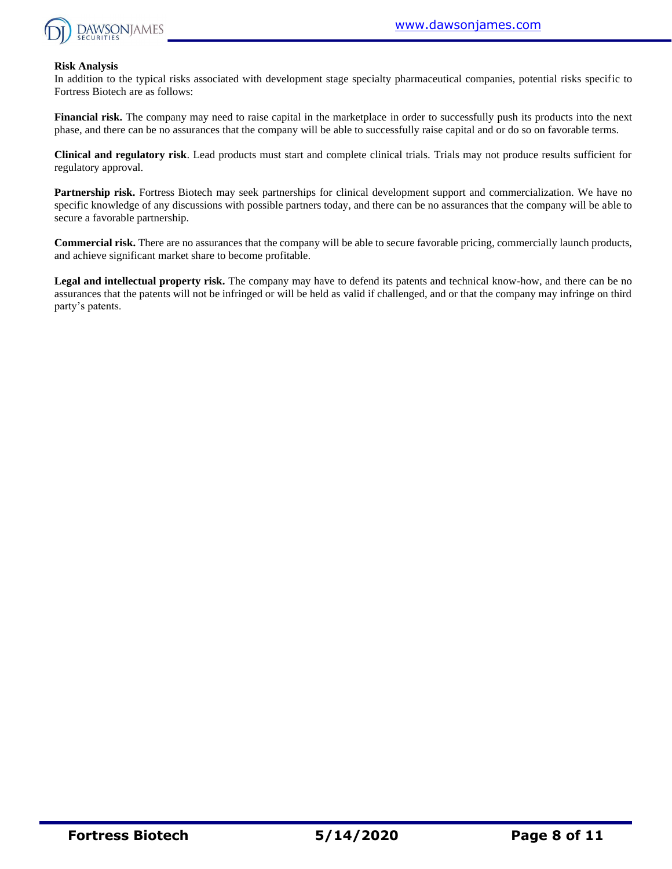

#### **Risk Analysis**

In addition to the typical risks associated with development stage specialty pharmaceutical companies, potential risks specific to Fortress Biotech are as follows:

**Financial risk.** The company may need to raise capital in the marketplace in order to successfully push its products into the next phase, and there can be no assurances that the company will be able to successfully raise capital and or do so on favorable terms.

**Clinical and regulatory risk**. Lead products must start and complete clinical trials. Trials may not produce results sufficient for regulatory approval.

**Partnership risk.** Fortress Biotech may seek partnerships for clinical development support and commercialization. We have no specific knowledge of any discussions with possible partners today, and there can be no assurances that the company will be able to secure a favorable partnership.

**Commercial risk.** There are no assurances that the company will be able to secure favorable pricing, commercially launch products, and achieve significant market share to become profitable.

**Legal and intellectual property risk.** The company may have to defend its patents and technical know-how, and there can be no assurances that the patents will not be infringed or will be held as valid if challenged, and or that the company may infringe on third party's patents.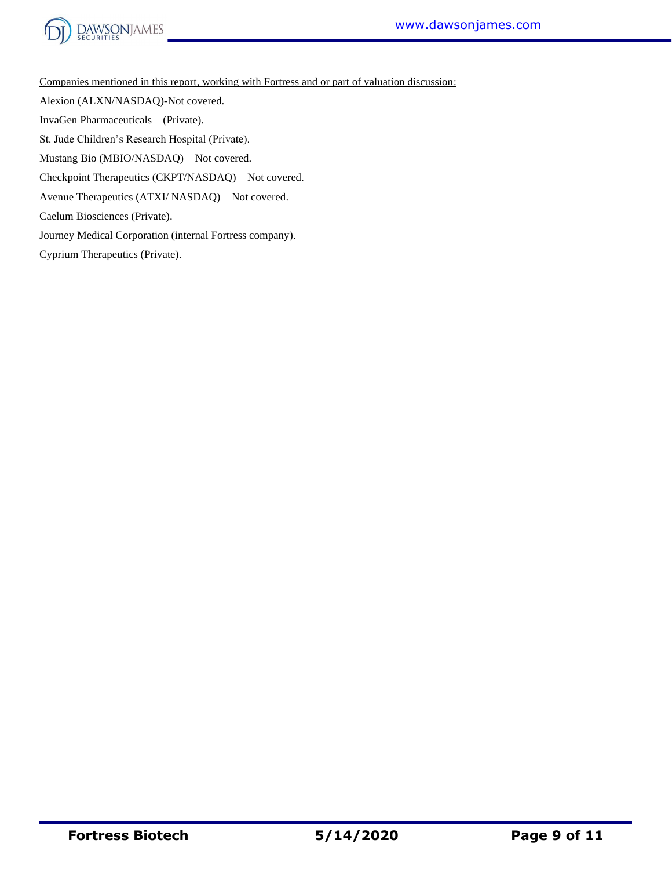



Companies mentioned in this report, working with Fortress and or part of valuation discussion:

Alexion (ALXN/NASDAQ)-Not covered.

InvaGen Pharmaceuticals – (Private).

St. Jude Children's Research Hospital (Private).

Mustang Bio (MBIO/NASDAQ) – Not covered.

Checkpoint Therapeutics (CKPT/NASDAQ) – Not covered.

Avenue Therapeutics (ATXI/ NASDAQ) – Not covered.

Caelum Biosciences (Private).

Journey Medical Corporation (internal Fortress company).

Cyprium Therapeutics (Private).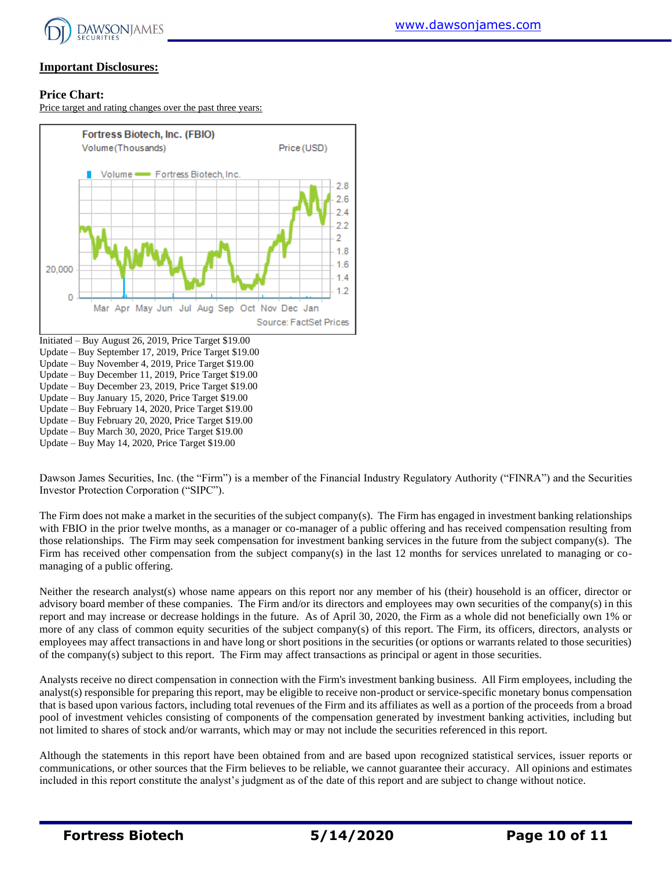

# **Important Disclosures:**

### **Price Chart:**

Price target and rating changes over the past three years:



Update – Buy February 20, 2020, Price Target \$19.00

Update – Buy March 30, 2020, Price Target \$19.00

Update – Buy May 14, 2020, Price Target \$19.00

Dawson James Securities, Inc. (the "Firm") is a member of the Financial Industry Regulatory Authority ("FINRA") and the Securities Investor Protection Corporation ("SIPC").

The Firm does not make a market in the securities of the subject company(s). The Firm has engaged in investment banking relationships with FBIO in the prior twelve months, as a manager or co-manager of a public offering and has received compensation resulting from those relationships. The Firm may seek compensation for investment banking services in the future from the subject company(s). The Firm has received other compensation from the subject company(s) in the last 12 months for services unrelated to managing or comanaging of a public offering.

Neither the research analyst(s) whose name appears on this report nor any member of his (their) household is an officer, director or advisory board member of these companies. The Firm and/or its directors and employees may own securities of the company(s) in this report and may increase or decrease holdings in the future. As of April 30, 2020, the Firm as a whole did not beneficially own 1% or more of any class of common equity securities of the subject company(s) of this report. The Firm, its officers, directors, analysts or employees may affect transactions in and have long or short positions in the securities (or options or warrants related to those securities) of the company(s) subject to this report. The Firm may affect transactions as principal or agent in those securities.

Analysts receive no direct compensation in connection with the Firm's investment banking business. All Firm employees, including the analyst(s) responsible for preparing this report, may be eligible to receive non-product or service-specific monetary bonus compensation that is based upon various factors, including total revenues of the Firm and its affiliates as well as a portion of the proceeds from a broad pool of investment vehicles consisting of components of the compensation generated by investment banking activities, including but not limited to shares of stock and/or warrants, which may or may not include the securities referenced in this report.

Although the statements in this report have been obtained from and are based upon recognized statistical services, issuer reports or communications, or other sources that the Firm believes to be reliable, we cannot guarantee their accuracy. All opinions and estimates included in this report constitute the analyst's judgment as of the date of this report and are subject to change without notice.